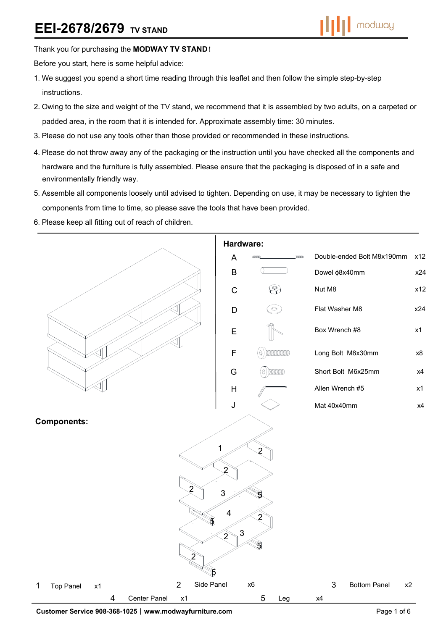## Thank you for purchasing the **MODWAY TV STAND**!

Before you start, here is some helpful advice:

- 1.We suggest you spend a short time reading through this leaflet and then follow the simple step-by-step instructions.
- 2.Owing to the size and weight of the TV stand, we recommend that it is assembled by two adults, on a carpeted or padded area, in the room that it is intended for. Approximate assembly time: 30 minutes.
- 3.Please do not use any tools other than those provided or recommended in these instructions.
- 4.Please do not throw away any of the packaging or the instruction until you have checked all the components and hardware and the furniture is fully assembled. Please ensure that the packaging is disposed of in a safe and environmentally friendly way.
- 5.Assemble all components loosely until advised to tighten. Depending on use, it may be necessary to tighten the components from time to time, so please save the tools that have been provided.
- 6.Please keep all fitting out of reach of children.

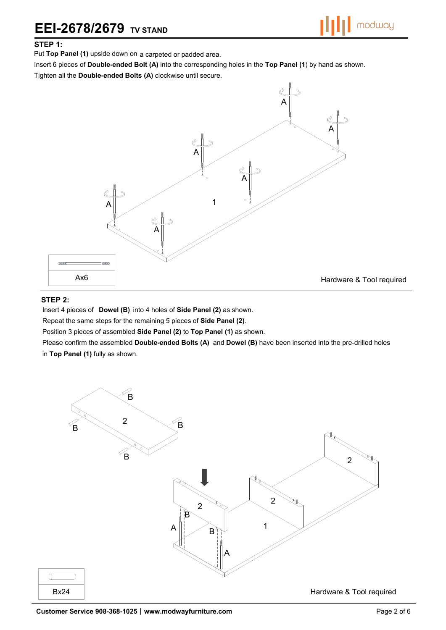# **EEI-2678/2679 TV STAND**

### **STEP 1:**

Put **Top Panel (1)** upside down on a carpeted or padded area.

Insert 6 pieces of **Double-ended Bolt (A)** into the corresponding holes in the **Top Panel (1**) by hand as shown.

Tighten all the **Double-ended Bolts (A)** clockwise until secure.



#### **STEP 2:**

Insert 4 pieces of **Dowel (B)** into 4 holes of **Side Panel (2)** as shown.

Repeat the same steps for the remaining 5 pieces of **Side Panel (2)**.

Position 3 pieces of assembled **Side Panel (2)** to **Top Panel (1)** as shown.

Please confirm the assembled **Double-ended Bolts (A)** and **Dowel (B)** have been inserted into the pre-drilled holes in **Top Panel (1)** fully as shown.

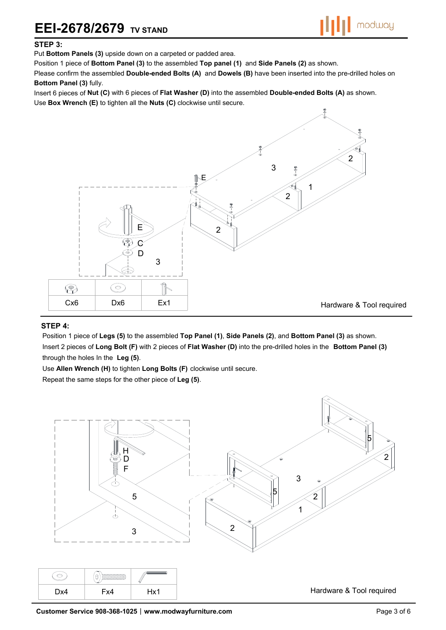# **EEI-2678/2679 TV STAND**



### **STEP 3:**

Put **Bottom Panels (3)** upside down on a carpeted or padded area.

Position 1 piece of **Bottom Panel (3)** to the assembled **Top panel (1)** and **Side Panels (2)** as shown.

Please confirm the assembled **Double-ended Bolts (A)** and **Dowels (B)** have been inserted into the pre-drilled holes on **Bottom Panel (3)** fully.

Insert 6 pieces of **Nut (C)** with 6 pieces of **Flat Washer (D)** into the assembled **Double-ended Bolts (A)** as shown.

Use **Box Wrench (E)** to tighten all the **Nuts (C)** clockwise until secure.



#### **STEP 4:**

Position 1 piece of **Legs (5)** to the assembled **Top Panel (1)**, **Side Panels (2)**, and **Bottom Panel (3)** as shown. Insert 2 pieces of **Long Bolt (F)** with 2 pieces of **Flat Washer (D)** into the pre-drilled holes in the **Bottom Panel (3)**  through the holes In the **Leg (5)**.

Use **Allen Wrench (H)** to tighten **Long Bolts (F)** clockwise until secure.

Repeat the same steps for the other piece of **Leg (5)**.

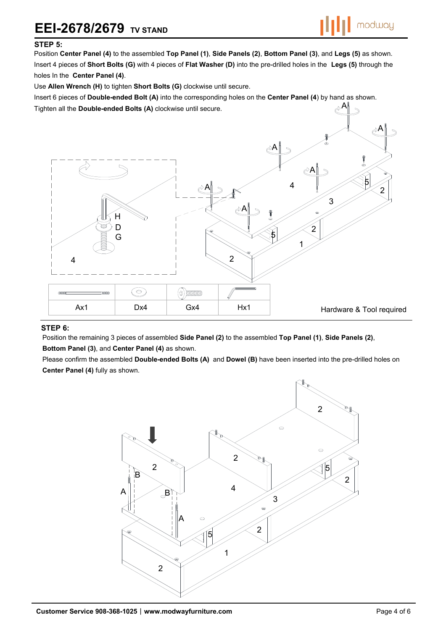#### **STEP 5:**

Position **Center Panel (4)** to the assembled **Top Panel (1)**, **Side Panels (2)**, **Bottom Panel (3)**, and **Legs (5)** as shown. Insert 4 pieces of **Short Bolts (G)** with 4 pieces of **Flat Washer (D)** into the pre-drilled holes in the **Legs (5)** through the holes In the **Center Panel (4)**.

Use **Allen Wrench (H)** to tighten **Short Bolts (G)** clockwise until secure.

A Insert 6 pieces of **Double-ended Bolt (A)** into the corresponding holes on the **Center Panel (4**) by hand as shown. Tighten all the **Double-ended Bolts (A)** clockwise until secure.



#### **STEP 6:**

Position the remaining 3 pieces of assembled **Side Panel (2)** to the assembled **Top Panel (1)**, **Side Panels (2)**, **Bottom Panel (3)**, and **Center Panel (4)** as shown.

Please confirm the assembled **Double-ended Bolts (A)** and **Dowel (B)** have been inserted into the pre-drilled holes on **Center Panel (4)** fully as shown.

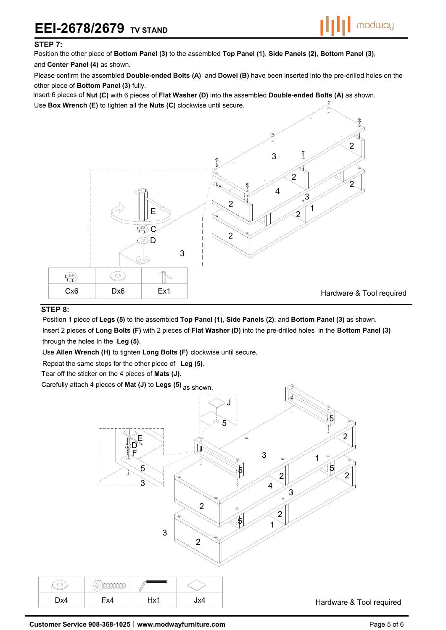# **EEI-2678/2679 TV STAND**



#### **STEP 7:**

Position the other piece of **Bottom Panel (3)** to the assembled **Top Panel (1)**, **Side Panels (2)**, **Bottom Panel (3)**, and **Center Panel (4)** as shown.

Please confirm the assembled **Double-ended Bolts (A)** and **Dowel (B)** have been inserted into the pre-drilled holes on the other piece of **Bottom Panel (3)** fully.

Insert 6 pieces of **Nut (C)** with 6 pieces of **Flat Washer (D)** into the assembled **Double-ended Bolts (A)** as shown.

Use **Box Wrench (E)** to tighten all the **Nuts (C)** clockwise until secure.



### **STEP 8:**

Position 1 piece of **Legs (5)** to the assembled **Top Panel (1)**, **Side Panels (2)**, and **Bottom Panel (3)** as shown. Insert 2 pieces of **Long Bolts (F)** with 2 pieces of **Flat Washer (D)** into the pre-drilled holes in the **Bottom Panel (3)**  through the holes In the **Leg (5)**.

Use **Allen Wrench (H)** to tighten **Long Bolts (F)** clockwise until secure.

Repeat the same steps for the other piece of **Leg (5)**.

Tear off the sticker on the 4 pieces of **Mats (J)**.

Carefully attach 4 pieces of **Mat (J)** to **Legs (5)** as shown.